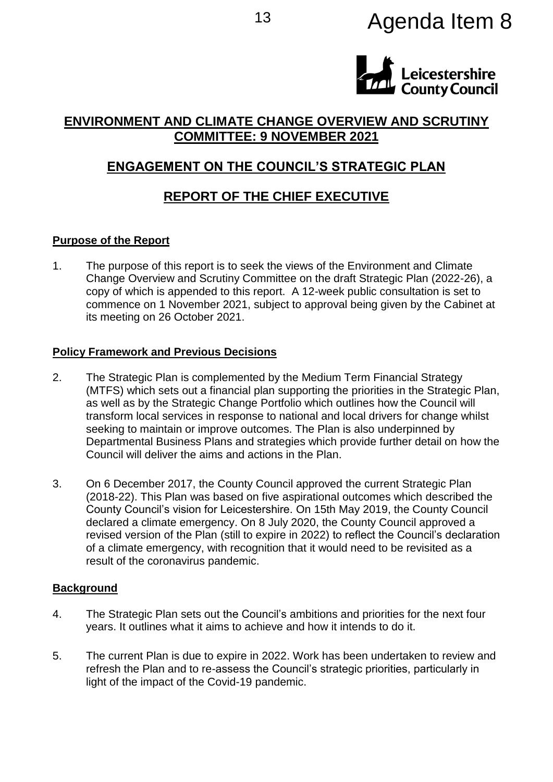# <sup>13</sup> Agenda Item 8



# **ENVIRONMENT AND CLIMATE CHANGE OVERVIEW AND SCRUTINY COMMITTEE: 9 NOVEMBER 2021**

# **ENGAGEMENT ON THE COUNCIL'S STRATEGIC PLAN**

# **REPORT OF THE CHIEF EXECUTIVE**

# **Purpose of the Report**

1. The purpose of this report is to seek the views of the Environment and Climate Change Overview and Scrutiny Committee on the draft Strategic Plan (2022-26), a copy of which is appended to this report. A 12-week public consultation is set to commence on 1 November 2021, subject to approval being given by the Cabinet at its meeting on 26 October 2021.

### **Policy Framework and Previous Decisions**

- 2. The Strategic Plan is complemented by the Medium Term Financial Strategy (MTFS) which sets out a financial plan supporting the priorities in the Strategic Plan, as well as by the Strategic Change Portfolio which outlines how the Council will transform local services in response to national and local drivers for change whilst seeking to maintain or improve outcomes. The Plan is also underpinned by Departmental Business Plans and strategies which provide further detail on how the Council will deliver the aims and actions in the Plan.
- 3. On 6 December 2017, the County Council approved the current Strategic Plan (2018-22). This Plan was based on five aspirational outcomes which described the County Council's vision for Leicestershire. On 15th May 2019, the County Council declared a climate emergency. On 8 July 2020, the County Council approved a revised version of the Plan (still to expire in 2022) to reflect the Council's declaration of a climate emergency, with recognition that it would need to be revisited as a result of the coronavirus pandemic.

# **Background**

- 4. The Strategic Plan sets out the Council's ambitions and priorities for the next four years. It outlines what it aims to achieve and how it intends to do it.
- 5. The current Plan is due to expire in 2022. Work has been undertaken to review and refresh the Plan and to re-assess the Council's strategic priorities, particularly in light of the impact of the Covid-19 pandemic.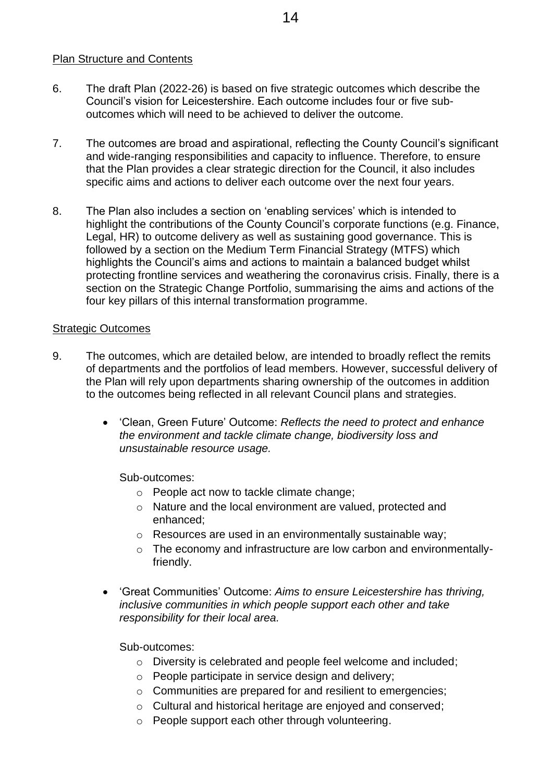#### Plan Structure and Contents

- 6. The draft Plan (2022-26) is based on five strategic outcomes which describe the Council's vision for Leicestershire. Each outcome includes four or five suboutcomes which will need to be achieved to deliver the outcome.
- 7. The outcomes are broad and aspirational, reflecting the County Council's significant and wide-ranging responsibilities and capacity to influence. Therefore, to ensure that the Plan provides a clear strategic direction for the Council, it also includes specific aims and actions to deliver each outcome over the next four years.
- 8. The Plan also includes a section on 'enabling services' which is intended to highlight the contributions of the County Council's corporate functions (e.g. Finance, Legal, HR) to outcome delivery as well as sustaining good governance. This is followed by a section on the Medium Term Financial Strategy (MTFS) which highlights the Council's aims and actions to maintain a balanced budget whilst protecting frontline services and weathering the coronavirus crisis. Finally, there is a section on the Strategic Change Portfolio, summarising the aims and actions of the four key pillars of this internal transformation programme.

#### Strategic Outcomes

- 9. The outcomes, which are detailed below, are intended to broadly reflect the remits of departments and the portfolios of lead members. However, successful delivery of the Plan will rely upon departments sharing ownership of the outcomes in addition to the outcomes being reflected in all relevant Council plans and strategies.
	- 'Clean, Green Future' Outcome: *Reflects the need to protect and enhance the environment and tackle climate change, biodiversity loss and unsustainable resource usage.*

Sub-outcomes:

- o People act now to tackle climate change;
- o Nature and the local environment are valued, protected and enhanced;
- o Resources are used in an environmentally sustainable way;
- o The economy and infrastructure are low carbon and environmentallyfriendly.
- 'Great Communities' Outcome: *Aims to ensure Leicestershire has thriving, inclusive communities in which people support each other and take responsibility for their local area.*

Sub-outcomes:

- o Diversity is celebrated and people feel welcome and included;
- o People participate in service design and delivery;
- o Communities are prepared for and resilient to emergencies;
- o Cultural and historical heritage are enjoyed and conserved;
- o People support each other through volunteering.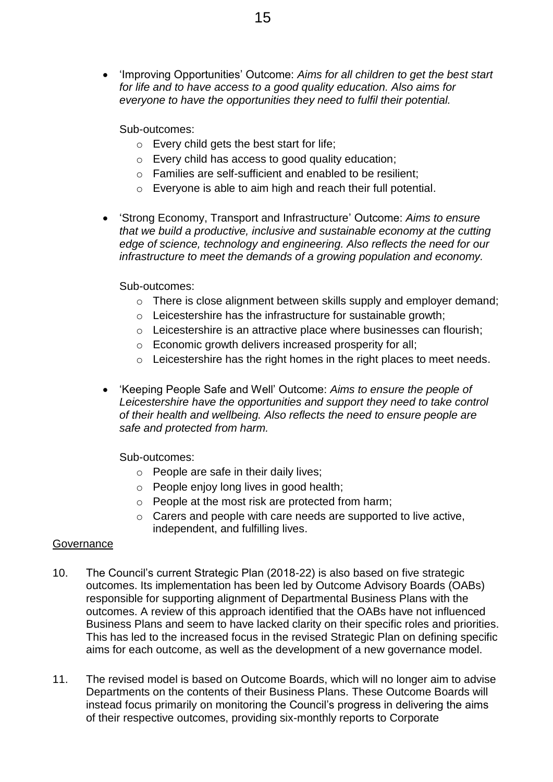'Improving Opportunities' Outcome: *Aims for all children to get the best start for life and to have access to a good quality education. Also aims for everyone to have the opportunities they need to fulfil their potential.*

Sub-outcomes:

- o Every child gets the best start for life;
- o Every child has access to good quality education;
- o Families are self-sufficient and enabled to be resilient;
- o Everyone is able to aim high and reach their full potential.
- 'Strong Economy, Transport and Infrastructure' Outcome: *Aims to ensure that we build a productive, inclusive and sustainable economy at the cutting edge of science, technology and engineering. Also reflects the need for our infrastructure to meet the demands of a growing population and economy.*

Sub-outcomes:

- o There is close alignment between skills supply and employer demand;
- o Leicestershire has the infrastructure for sustainable growth;
- o Leicestershire is an attractive place where businesses can flourish;
- o Economic growth delivers increased prosperity for all;
- $\circ$  Leicestershire has the right homes in the right places to meet needs.
- 'Keeping People Safe and Well' Outcome: *Aims to ensure the people of Leicestershire have the opportunities and support they need to take control of their health and wellbeing. Also reflects the need to ensure people are safe and protected from harm.*

Sub-outcomes:

- o People are safe in their daily lives;
- o People enjoy long lives in good health;
- o People at the most risk are protected from harm;
- o Carers and people with care needs are supported to live active, independent, and fulfilling lives.

#### **Governance**

- 10. The Council's current Strategic Plan (2018-22) is also based on five strategic outcomes. Its implementation has been led by Outcome Advisory Boards (OABs) responsible for supporting alignment of Departmental Business Plans with the outcomes. A review of this approach identified that the OABs have not influenced Business Plans and seem to have lacked clarity on their specific roles and priorities. This has led to the increased focus in the revised Strategic Plan on defining specific aims for each outcome, as well as the development of a new governance model.
- 11. The revised model is based on Outcome Boards, which will no longer aim to advise Departments on the contents of their Business Plans. These Outcome Boards will instead focus primarily on monitoring the Council's progress in delivering the aims of their respective outcomes, providing six-monthly reports to Corporate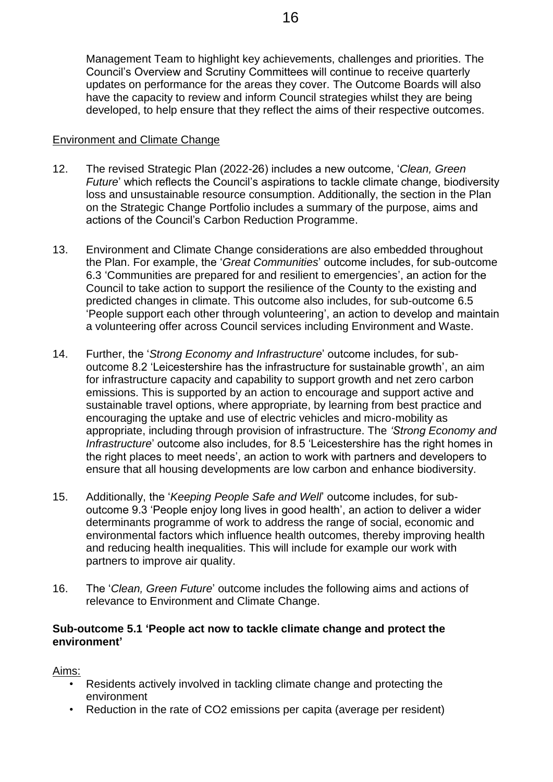Management Team to highlight key achievements, challenges and priorities. The Council's Overview and Scrutiny Committees will continue to receive quarterly updates on performance for the areas they cover. The Outcome Boards will also have the capacity to review and inform Council strategies whilst they are being developed, to help ensure that they reflect the aims of their respective outcomes.

#### Environment and Climate Change

- 12. The revised Strategic Plan (2022-26) includes a new outcome, '*Clean, Green Future*' which reflects the Council's aspirations to tackle climate change, biodiversity loss and unsustainable resource consumption. Additionally, the section in the Plan on the Strategic Change Portfolio includes a summary of the purpose, aims and actions of the Council's Carbon Reduction Programme.
- 13. Environment and Climate Change considerations are also embedded throughout the Plan. For example, the '*Great Communities*' outcome includes, for sub-outcome 6.3 'Communities are prepared for and resilient to emergencies', an action for the Council to take action to support the resilience of the County to the existing and predicted changes in climate. This outcome also includes, for sub-outcome 6.5 'People support each other through volunteering', an action to develop and maintain a volunteering offer across Council services including Environment and Waste.
- 14. Further, the '*Strong Economy and Infrastructure*' outcome includes, for suboutcome 8.2 'Leicestershire has the infrastructure for sustainable growth', an aim for infrastructure capacity and capability to support growth and net zero carbon emissions. This is supported by an action to encourage and support active and sustainable travel options, where appropriate, by learning from best practice and encouraging the uptake and use of electric vehicles and micro-mobility as appropriate, including through provision of infrastructure. The *'Strong Economy and Infrastructure*' outcome also includes, for 8.5 'Leicestershire has the right homes in the right places to meet needs', an action to work with partners and developers to ensure that all housing developments are low carbon and enhance biodiversity.
- 15. Additionally, the '*Keeping People Safe and Well*' outcome includes, for suboutcome 9.3 'People enjoy long lives in good health', an action to deliver a wider determinants programme of work to address the range of social, economic and environmental factors which influence health outcomes, thereby improving health and reducing health inequalities. This will include for example our work with partners to improve air quality.
- 16. The '*Clean, Green Future*' outcome includes the following aims and actions of relevance to Environment and Climate Change.

#### **Sub-outcome 5.1 'People act now to tackle climate change and protect the environment'**

Aims:

- Residents actively involved in tackling climate change and protecting the environment
- Reduction in the rate of CO2 emissions per capita (average per resident)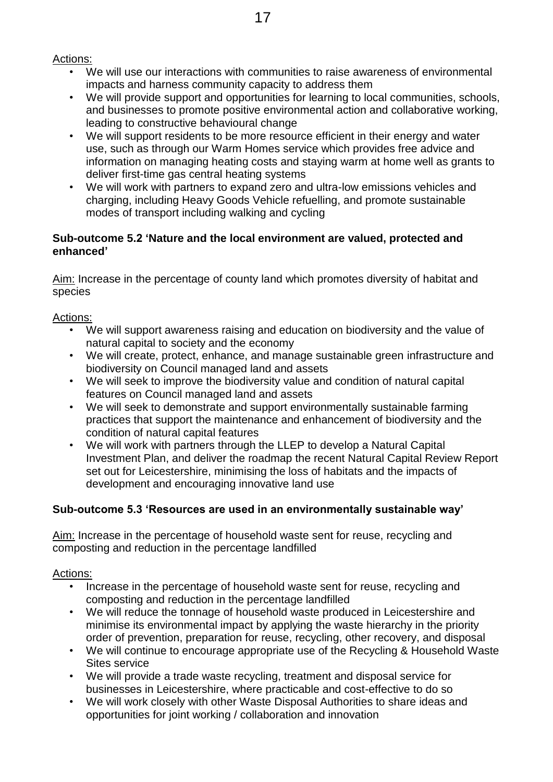Actions:

- We will use our interactions with communities to raise awareness of environmental impacts and harness community capacity to address them
- We will provide support and opportunities for learning to local communities, schools, and businesses to promote positive environmental action and collaborative working, leading to constructive behavioural change
- We will support residents to be more resource efficient in their energy and water use, such as through our Warm Homes service which provides free advice and information on managing heating costs and staying warm at home well as grants to deliver first-time gas central heating systems
- We will work with partners to expand zero and ultra-low emissions vehicles and charging, including Heavy Goods Vehicle refuelling, and promote sustainable modes of transport including walking and cycling

### **Sub-outcome 5.2 'Nature and the local environment are valued, protected and enhanced'**

Aim: Increase in the percentage of county land which promotes diversity of habitat and species

Actions:

- We will support awareness raising and education on biodiversity and the value of natural capital to society and the economy
- We will create, protect, enhance, and manage sustainable green infrastructure and biodiversity on Council managed land and assets
- We will seek to improve the biodiversity value and condition of natural capital features on Council managed land and assets
- We will seek to demonstrate and support environmentally sustainable farming practices that support the maintenance and enhancement of biodiversity and the condition of natural capital features
- We will work with partners through the LLEP to develop a Natural Capital Investment Plan, and deliver the roadmap the recent Natural Capital Review Report set out for Leicestershire, minimising the loss of habitats and the impacts of development and encouraging innovative land use

# **Sub-outcome 5.3 'Resources are used in an environmentally sustainable way'**

Aim: Increase in the percentage of household waste sent for reuse, recycling and composting and reduction in the percentage landfilled

Actions:

- Increase in the percentage of household waste sent for reuse, recycling and composting and reduction in the percentage landfilled
- We will reduce the tonnage of household waste produced in Leicestershire and minimise its environmental impact by applying the waste hierarchy in the priority order of prevention, preparation for reuse, recycling, other recovery, and disposal
- We will continue to encourage appropriate use of the Recycling & Household Waste Sites service
- We will provide a trade waste recycling, treatment and disposal service for businesses in Leicestershire, where practicable and cost-effective to do so
- We will work closely with other Waste Disposal Authorities to share ideas and opportunities for joint working / collaboration and innovation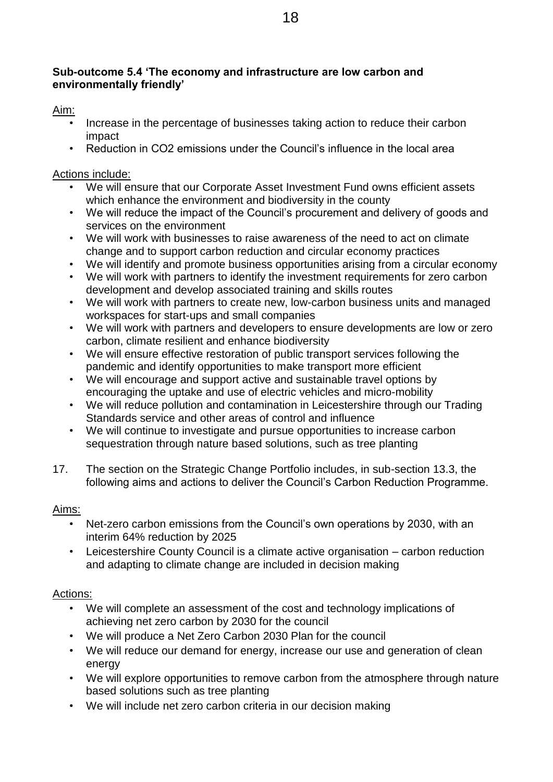# **Sub-outcome 5.4 'The economy and infrastructure are low carbon and environmentally friendly'**

## Aim:

- Increase in the percentage of businesses taking action to reduce their carbon impact
- Reduction in CO2 emissions under the Council's influence in the local area

## Actions include:

- We will ensure that our Corporate Asset Investment Fund owns efficient assets which enhance the environment and biodiversity in the county
- We will reduce the impact of the Council's procurement and delivery of goods and services on the environment
- We will work with businesses to raise awareness of the need to act on climate change and to support carbon reduction and circular economy practices
- We will identify and promote business opportunities arising from a circular economy
- We will work with partners to identify the investment requirements for zero carbon development and develop associated training and skills routes
- We will work with partners to create new, low-carbon business units and managed workspaces for start-ups and small companies
- We will work with partners and developers to ensure developments are low or zero carbon, climate resilient and enhance biodiversity
- We will ensure effective restoration of public transport services following the pandemic and identify opportunities to make transport more efficient
- We will encourage and support active and sustainable travel options by encouraging the uptake and use of electric vehicles and micro-mobility
- We will reduce pollution and contamination in Leicestershire through our Trading Standards service and other areas of control and influence
- We will continue to investigate and pursue opportunities to increase carbon sequestration through nature based solutions, such as tree planting
- 17. The section on the Strategic Change Portfolio includes, in sub-section 13.3, the following aims and actions to deliver the Council's Carbon Reduction Programme.

# Aims:

- Net-zero carbon emissions from the Council's own operations by 2030, with an interim 64% reduction by 2025
- Leicestershire County Council is a climate active organisation carbon reduction and adapting to climate change are included in decision making

# Actions:

- We will complete an assessment of the cost and technology implications of achieving net zero carbon by 2030 for the council
- We will produce a Net Zero Carbon 2030 Plan for the council
- We will reduce our demand for energy, increase our use and generation of clean energy
- We will explore opportunities to remove carbon from the atmosphere through nature based solutions such as tree planting
- We will include net zero carbon criteria in our decision making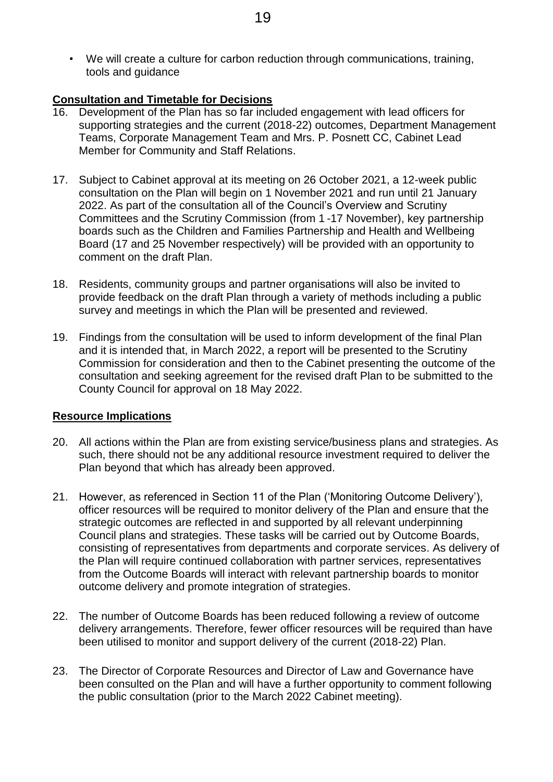• We will create a culture for carbon reduction through communications, training, tools and guidance

#### **Consultation and Timetable for Decisions**

- 16. Development of the Plan has so far included engagement with lead officers for supporting strategies and the current (2018-22) outcomes, Department Management Teams, Corporate Management Team and Mrs. P. Posnett CC, Cabinet Lead Member for Community and Staff Relations.
- 17. Subject to Cabinet approval at its meeting on 26 October 2021, a 12-week public consultation on the Plan will begin on 1 November 2021 and run until 21 January 2022. As part of the consultation all of the Council's Overview and Scrutiny Committees and the Scrutiny Commission (from 1 -17 November), key partnership boards such as the Children and Families Partnership and Health and Wellbeing Board (17 and 25 November respectively) will be provided with an opportunity to comment on the draft Plan.
- 18. Residents, community groups and partner organisations will also be invited to provide feedback on the draft Plan through a variety of methods including a public survey and meetings in which the Plan will be presented and reviewed.
- 19. Findings from the consultation will be used to inform development of the final Plan and it is intended that, in March 2022, a report will be presented to the Scrutiny Commission for consideration and then to the Cabinet presenting the outcome of the consultation and seeking agreement for the revised draft Plan to be submitted to the County Council for approval on 18 May 2022.

#### **Resource Implications**

- 20. All actions within the Plan are from existing service/business plans and strategies. As such, there should not be any additional resource investment required to deliver the Plan beyond that which has already been approved.
- 21. However, as referenced in Section 11 of the Plan ('Monitoring Outcome Delivery'), officer resources will be required to monitor delivery of the Plan and ensure that the strategic outcomes are reflected in and supported by all relevant underpinning Council plans and strategies. These tasks will be carried out by Outcome Boards, consisting of representatives from departments and corporate services. As delivery of the Plan will require continued collaboration with partner services, representatives from the Outcome Boards will interact with relevant partnership boards to monitor outcome delivery and promote integration of strategies.
- 22. The number of Outcome Boards has been reduced following a review of outcome delivery arrangements. Therefore, fewer officer resources will be required than have been utilised to monitor and support delivery of the current (2018-22) Plan.
- 23. The Director of Corporate Resources and Director of Law and Governance have been consulted on the Plan and will have a further opportunity to comment following the public consultation (prior to the March 2022 Cabinet meeting).